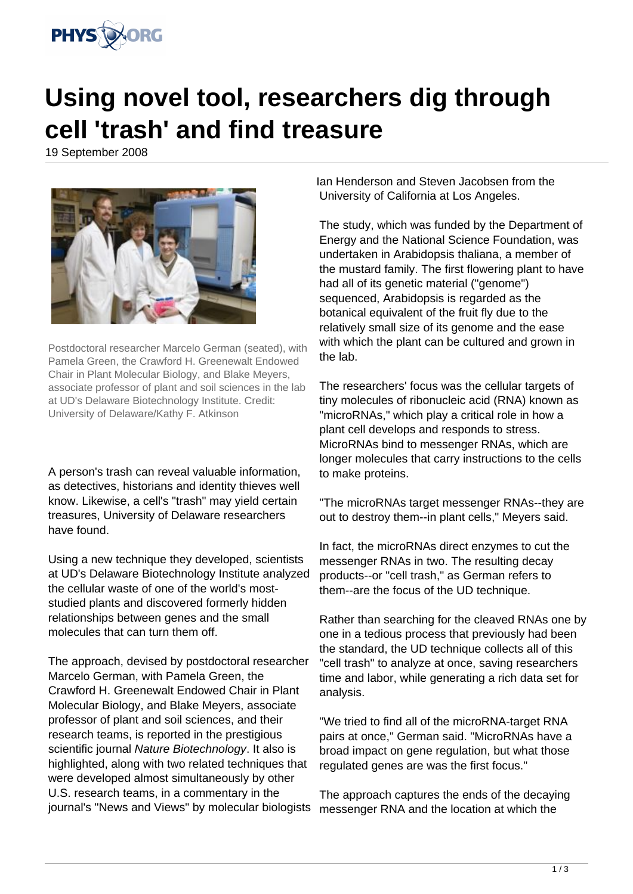

## **Using novel tool, researchers dig through cell 'trash' and find treasure**

19 September 2008



Postdoctoral researcher Marcelo German (seated), with Pamela Green, the Crawford H. Greenewalt Endowed Chair in Plant Molecular Biology, and Blake Meyers, associate professor of plant and soil sciences in the lab at UD's Delaware Biotechnology Institute. Credit: University of Delaware/Kathy F. Atkinson

A person's trash can reveal valuable information, as detectives, historians and identity thieves well know. Likewise, a cell's "trash" may yield certain treasures, University of Delaware researchers have found.

Using a new technique they developed, scientists at UD's Delaware Biotechnology Institute analyzed the cellular waste of one of the world's moststudied plants and discovered formerly hidden relationships between genes and the small molecules that can turn them off.

The approach, devised by postdoctoral researcher Marcelo German, with Pamela Green, the Crawford H. Greenewalt Endowed Chair in Plant Molecular Biology, and Blake Meyers, associate professor of plant and soil sciences, and their research teams, is reported in the prestigious scientific journal Nature Biotechnology. It also is highlighted, along with two related techniques that were developed almost simultaneously by other U.S. research teams, in a commentary in the journal's "News and Views" by molecular biologists

Ian Henderson and Steven Jacobsen from the University of California at Los Angeles.

The study, which was funded by the Department of Energy and the National Science Foundation, was undertaken in Arabidopsis thaliana, a member of the mustard family. The first flowering plant to have had all of its genetic material ("genome") sequenced, Arabidopsis is regarded as the botanical equivalent of the fruit fly due to the relatively small size of its genome and the ease with which the plant can be cultured and grown in the lab.

The researchers' focus was the cellular targets of tiny molecules of ribonucleic acid (RNA) known as "microRNAs," which play a critical role in how a plant cell develops and responds to stress. MicroRNAs bind to messenger RNAs, which are longer molecules that carry instructions to the cells to make proteins.

"The microRNAs target messenger RNAs--they are out to destroy them--in plant cells," Meyers said.

In fact, the microRNAs direct enzymes to cut the messenger RNAs in two. The resulting decay products--or "cell trash," as German refers to them--are the focus of the UD technique.

Rather than searching for the cleaved RNAs one by one in a tedious process that previously had been the standard, the UD technique collects all of this "cell trash" to analyze at once, saving researchers time and labor, while generating a rich data set for analysis.

"We tried to find all of the microRNA-target RNA pairs at once," German said. "MicroRNAs have a broad impact on gene regulation, but what those regulated genes are was the first focus."

The approach captures the ends of the decaying messenger RNA and the location at which the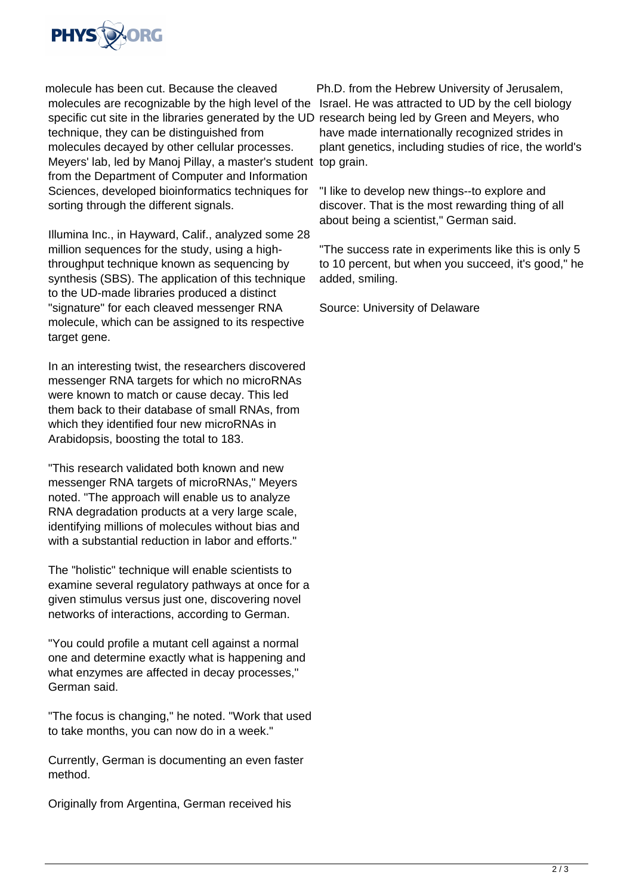

molecule has been cut. Because the cleaved molecules are recognizable by the high level of the Israel. He was attracted to UD by the cell biology specific cut site in the libraries generated by the UD research being led by Green and Meyers, who technique, they can be distinguished from molecules decayed by other cellular processes. Meyers' lab, led by Manoj Pillay, a master's student top grain. from the Department of Computer and Information Sciences, developed bioinformatics techniques for sorting through the different signals.

Illumina Inc., in Hayward, Calif., analyzed some 28 million sequences for the study, using a highthroughput technique known as sequencing by synthesis (SBS). The application of this technique to the UD-made libraries produced a distinct "signature" for each cleaved messenger RNA molecule, which can be assigned to its respective target gene.

In an interesting twist, the researchers discovered messenger RNA targets for which no microRNAs were known to match or cause decay. This led them back to their database of small RNAs, from which they identified four new microRNAs in Arabidopsis, boosting the total to 183.

"This research validated both known and new messenger RNA targets of microRNAs," Meyers noted. "The approach will enable us to analyze RNA degradation products at a very large scale, identifying millions of molecules without bias and with a substantial reduction in labor and efforts."

The "holistic" technique will enable scientists to examine several regulatory pathways at once for a given stimulus versus just one, discovering novel networks of interactions, according to German.

"You could profile a mutant cell against a normal one and determine exactly what is happening and what enzymes are affected in decay processes," German said.

"The focus is changing," he noted. "Work that used to take months, you can now do in a week."

Currently, German is documenting an even faster method.

Originally from Argentina, German received his

Ph.D. from the Hebrew University of Jerusalem, have made internationally recognized strides in plant genetics, including studies of rice, the world's

"I like to develop new things--to explore and discover. That is the most rewarding thing of all about being a scientist," German said.

"The success rate in experiments like this is only 5 to 10 percent, but when you succeed, it's good," he added, smiling.

Source: University of Delaware